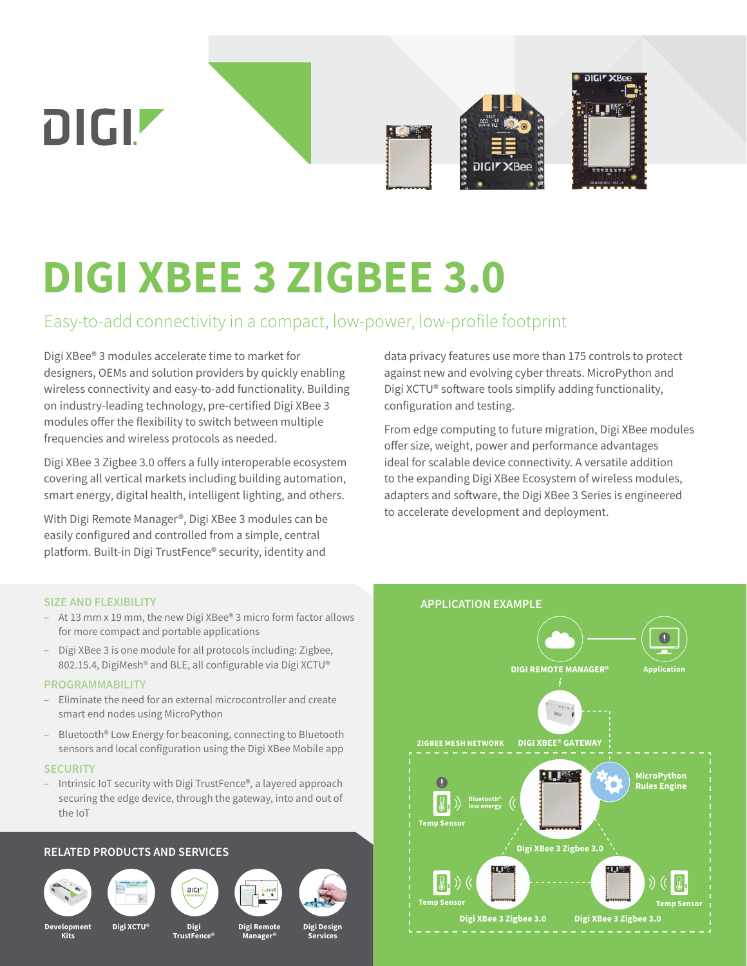

# **DIGI XBEE 3 ZIGBEE 3.0**

## Easy-to-add connectivity in a compact, low-power, low-profile footprint

Digi XBee® 3 modules accelerate time to market for designers, OEMs and solution providers by quickly enabling wireless connectivity and easy-to-add functionality. Building on industry-leading technology, pre-certified Digi XBee 3 modules offer the flexibility to switch between multiple frequencies and wireless protocols as needed.

Digi XBee 3 Zigbee 3.0 offers a fully interoperable ecosystem covering all vertical markets including building automation, smart energy, digital health, intelligent lighting, and others.

With Digi Remote Manager®, Digi XBee 3 modules can be easily configured and controlled from a simple, central platform. Built-in Digi TrustFence® security, identity and

data privacy features use more than 175 controls to protect against new and evolving cyber threats. MicroPython and Digi XCTU® software tools simplify adding functionality, configuration and testing.

From edge computing to future migration, Digi XBee modules offer size, weight, power and performance advantages ideal for scalable device connectivity. A versatile addition to the expanding Digi XBee Ecosystem of wireless modules, adapters and software, the Digi XBee 3 Series is engineered to accelerate development and deployment.

#### **SIZE AND FLEXIBILITY**

- At 13 mm x 19 mm, the new Digi XBee® 3 micro form factor allows for more compact and portable applications
- Digi XBee 3 is one module for all protocols including: Zigbee, 802.15.4, DigiMesh® and BLE, all configurable via Digi XCTU®

#### **PROGRAMMABILITY**

- Eliminate the need for an external microcontroller and create smart end nodes using MicroPython
- Bluetooth® Low Energy for beaconing, connecting to Bluetooth sensors and local configuration using the Digi XBee Mobile app

#### **SECURITY**

– Intrinsic IoT security with Digi TrustFence®, a layered approach securing the edge device, through the gateway, into and out of the IoT

#### **RELATED PRODUCTS AND SERVICES**













**Development Kits**

**Digi XCTU® Digi Remote**

**Digi TrustFence®**

**Digi Design Services**

**Manager®**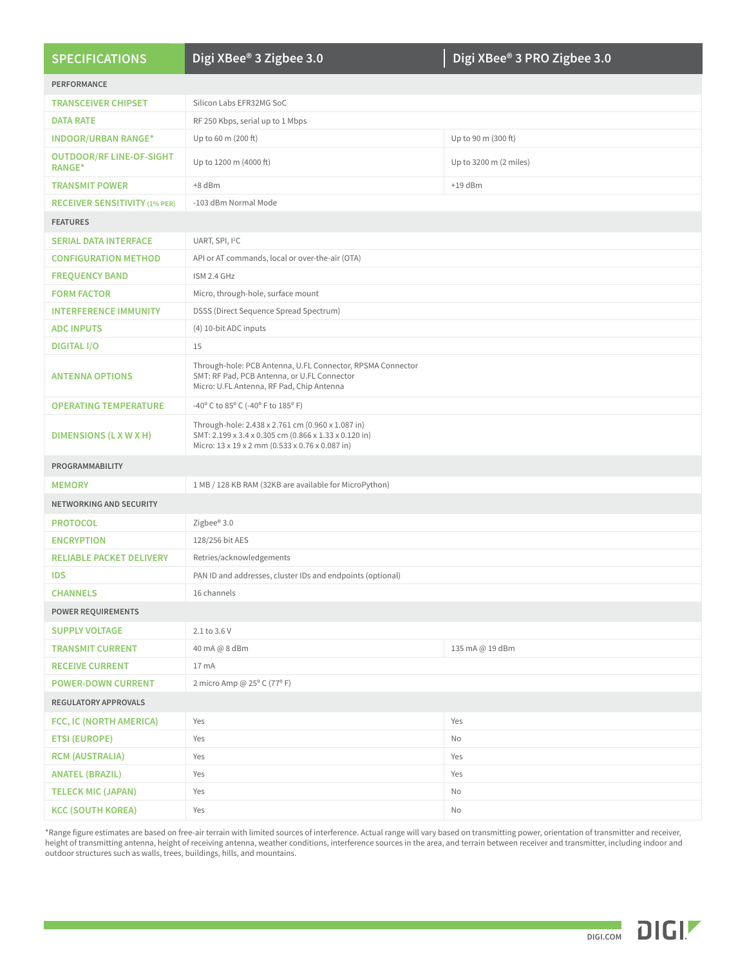| <b>SPECIFICATIONS</b>                            | Digi XBee <sup>®</sup> 3 Zigbee 3.0                                                                                                                           | Digi XBee® 3 PRO Zigbee 3.0 |
|--------------------------------------------------|---------------------------------------------------------------------------------------------------------------------------------------------------------------|-----------------------------|
| <b>PERFORMANCE</b>                               |                                                                                                                                                               |                             |
| <b>TRANSCEIVER CHIPSET</b>                       | Silicon Labs EFR32MG SoC                                                                                                                                      |                             |
| <b>DATA RATE</b>                                 | RF 250 Kbps, serial up to 1 Mbps                                                                                                                              |                             |
| <b>INDOOR/URBAN RANGE*</b>                       | Up to 60 m (200 ft)                                                                                                                                           | Up to 90 m (300 ft)         |
| <b>OUTDOOR/RF LINE-OF-SIGHT</b><br><b>RANGE*</b> | Up to 1200 m (4000 ft)                                                                                                                                        | Up to 3200 m (2 miles)      |
| <b>TRANSMIT POWER</b>                            | +8 dBm                                                                                                                                                        | $+19$ dBm                   |
| <b>RECEIVER SENSITIVITY (1% PER)</b>             | -103 dBm Normal Mode                                                                                                                                          |                             |
| <b>FEATURES</b>                                  |                                                                                                                                                               |                             |
| <b>SERIAL DATA INTERFACE</b>                     | UART, SPI, I <sup>2</sup> C                                                                                                                                   |                             |
| <b>CONFIGURATION METHOD</b>                      | API or AT commands, local or over-the-air (OTA)                                                                                                               |                             |
| <b>FREQUENCY BAND</b>                            | ISM 2.4 GHz                                                                                                                                                   |                             |
| <b>FORM FACTOR</b>                               | Micro, through-hole, surface mount                                                                                                                            |                             |
| <b>INTERFERENCE IMMUNITY</b>                     | DSSS (Direct Sequence Spread Spectrum)                                                                                                                        |                             |
| <b>ADC INPUTS</b>                                | (4) 10-bit ADC inputs                                                                                                                                         |                             |
| <b>DIGITAL I/O</b>                               | 15                                                                                                                                                            |                             |
| <b>ANTENNA OPTIONS</b>                           | Through-hole: PCB Antenna, U.FL Connector, RPSMA Connector<br>SMT: RF Pad, PCB Antenna, or U.FL Connector<br>Micro: U.FL Antenna, RF Pad, Chip Antenna        |                             |
| <b>OPERATING TEMPERATURE</b>                     | -40° C to 85° C (-40° F to 185° F)                                                                                                                            |                             |
| DIMENSIONS (L X W X H)                           | Through-hole: 2.438 x 2.761 cm (0.960 x 1.087 in)<br>SMT: 2.199 x 3.4 x 0.305 cm (0.866 x 1.33 x 0.120 in)<br>Micro: 13 x 19 x 2 mm (0.533 x 0.76 x 0.087 in) |                             |
| PROGRAMMABILITY                                  |                                                                                                                                                               |                             |
| <b>MEMORY</b>                                    | 1 MB / 128 KB RAM (32KB are available for MicroPython)                                                                                                        |                             |
| <b>NETWORKING AND SECURITY</b>                   |                                                                                                                                                               |                             |
| <b>PROTOCOL</b>                                  | Zigbee® 3.0                                                                                                                                                   |                             |
| <b>ENCRYPTION</b>                                | 128/256 bit AES                                                                                                                                               |                             |
| <b>RELIABLE PACKET DELIVERY</b>                  | Retries/acknowledgements                                                                                                                                      |                             |
| <b>IDS</b>                                       | PAN ID and addresses, cluster IDs and endpoints (optional)                                                                                                    |                             |
| <b>CHANNELS</b>                                  | 16 channels                                                                                                                                                   |                             |
| <b>POWER REQUIREMENTS</b>                        |                                                                                                                                                               |                             |
| <b>SUPPLY VOLTAGE</b>                            | 2.1 to 3.6 V                                                                                                                                                  |                             |
| <b>TRANSMIT CURRENT</b>                          | 40 mA @ 8 dBm                                                                                                                                                 | 135 mA @ 19 dBm             |
| <b>RECEIVE CURRENT</b>                           | 17 mA                                                                                                                                                         |                             |
| <b>POWER-DOWN CURRENT</b>                        | 2 micro Amp @ 25° C (77° F)                                                                                                                                   |                             |
| REGULATORY APPROVALS                             |                                                                                                                                                               |                             |
| FCC, IC (NORTH AMERICA)                          | Yes                                                                                                                                                           | Yes                         |
| <b>ETSI (EUROPE)</b>                             | Yes                                                                                                                                                           | No                          |
| <b>RCM (AUSTRALIA)</b>                           | Yes                                                                                                                                                           | Yes                         |
| <b>ANATEL (BRAZIL)</b>                           | Yes                                                                                                                                                           | Yes                         |
| <b>TELECK MIC (JAPAN)</b>                        | Yes                                                                                                                                                           | No                          |
| <b>KCC (SOUTH KOREA)</b>                         | Yes                                                                                                                                                           | No                          |

\*Range figure estimates are based on free-air terrain with limited sources of interference. Actual range will vary based on transmitting power, orientation of transmitter and receiver, height of transmitting antenna, height of receiving antenna, weather conditions, interference sources in the area, and terrain between receiver and transmitter, including indoor and outdoor structures such as walls, trees, buildings, hills, and mountains.